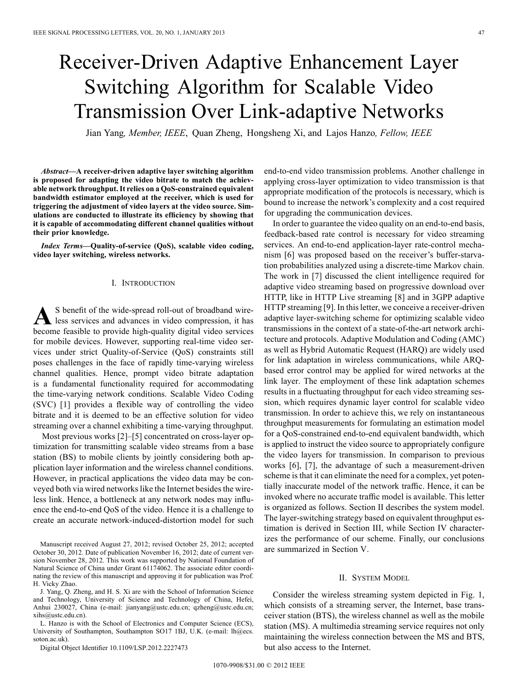# Receiver-Driven Adaptive Enhancement Layer Switching Algorithm for Scalable Video Transmission Over Link-adaptive Networks

Jian Yang*, Member, IEEE*, Quan Zheng, Hongsheng Xi, and Lajos Hanzo*, Fellow, IEEE*

*Abstract—***A receiver-driven adaptive layer switching algorithm is proposed for adapting the video bitrate to match the achievable network throughput. It relies on a QoS-constrained equivalent bandwidth estimator employed at the receiver, which is used for triggering the adjustment of video layers at the video source. Simulations are conducted to illustrate its efficiency by showing that it is capable of accommodating different channel qualities without their prior knowledge.**

*Index Terms—***Quality-of-service (QoS), scalable video coding, video layer switching, wireless networks.**

#### I. INTRODUCTION

A S benefit of the wide-spread roll-out of broadband wire-<br>less services and advances in video compression, it has become feasible to provide high-quality digital video services for mobile devices. However, supporting real-time video services under strict Quality-of-Service (QoS) constraints still poses challenges in the face of rapidly time-varying wireless channel qualities. Hence, prompt video bitrate adaptation is a fundamental functionality required for accommodating the time-varying network conditions. Scalable Video Coding (SVC) [1] provides a flexible way of controlling the video bitrate and it is deemed to be an effective solution for video streaming over a channel exhibiting a time-varying throughput.

Most previous works [2]–[5] concentrated on cross-layer optimization for transmitting scalable video streams from a base station (BS) to mobile clients by jointly considering both application layer information and the wireless channel conditions. However, in practical applications the video data may be conveyed both via wired networks like the Internet besides the wireless link. Hence, a bottleneck at any network nodes may influence the end-to-end QoS of the video. Hence it is a challenge to create an accurate network-induced-distortion model for such

Manuscript received August 27, 2012; revised October 25, 2012; accepted October 30, 2012. Date of publication November 16, 2012; date of current version November 28, 2012. This work was supported by National Foundation of Natural Science of China under Grant 61174062. The associate editor coordinating the review of this manuscript and approving it for publication was Prof. H. Vicky Zhao.

L. Hanzo is with the School of Electronics and Computer Science (ECS), University of Southampton, Southampton SO17 1BJ, U.K. (e-mail: lh@ecs. soton.ac.uk).

Digital Object Identifier 10.1109/LSP.2012.2227473

end-to-end video transmission problems. Another challenge in applying cross-layer optimization to video transmission is that appropriate modification of the protocols is necessary, which is bound to increase the network's complexity and a cost required for upgrading the communication devices.

In order to guarantee the video quality on an end-to-end basis, feedback-based rate control is necessary for video streaming services. An end-to-end application-layer rate-control mechanism [6] was proposed based on the receiver's buffer-starvation probabilities analyzed using a discrete-time Markov chain. The work in [7] discussed the client intelligence required for adaptive video streaming based on progressive download over HTTP, like in HTTP Live streaming [8] and in 3GPP adaptive HTTP streaming [9]. In this letter, we conceive a receiver-driven adaptive layer-switching scheme for optimizing scalable video transmissions in the context of a state-of-the-art network architecture and protocols. Adaptive Modulation and Coding (AMC) as well as Hybrid Automatic Request (HARQ) are widely used for link adaptation in wireless communications, while ARQbased error control may be applied for wired networks at the link layer. The employment of these link adaptation schemes results in a fluctuating throughput for each video streaming session, which requires dynamic layer control for scalable video transmission. In order to achieve this, we rely on instantaneous throughput measurements for formulating an estimation model for a QoS-constrained end-to-end equivalent bandwidth, which is applied to instruct the video source to appropriately configure the video layers for transmission. In comparison to previous works [6], [7], the advantage of such a measurement-driven scheme is that it can eliminate the need for a complex, yet potentially inaccurate model of the network traffic. Hence, it can be invoked where no accurate traffic model is available. This letter is organized as follows. Section II describes the system model. The layer-switching strategy based on equivalent throughput estimation is derived in Section III, while Section IV characterizes the performance of our scheme. Finally, our conclusions are summarized in Section V.

### II. SYSTEM MODEL

Consider the wireless streaming system depicted in Fig. 1, which consists of a streaming server, the Internet, base transceiver station (BTS), the wireless channel as well as the mobile station (MS). A multimedia streaming service requires not only maintaining the wireless connection between the MS and BTS, but also access to the Internet.

J. Yang, Q. Zheng, and H. S. Xi are with the School of Information Science and Technology, University of Science and Technology of China, Hefei, Anhui 230027, China (e-mail: jianyang@ustc.edu.cn; qzheng@ustc.edu.cn; xihs@ustc.edu.cn).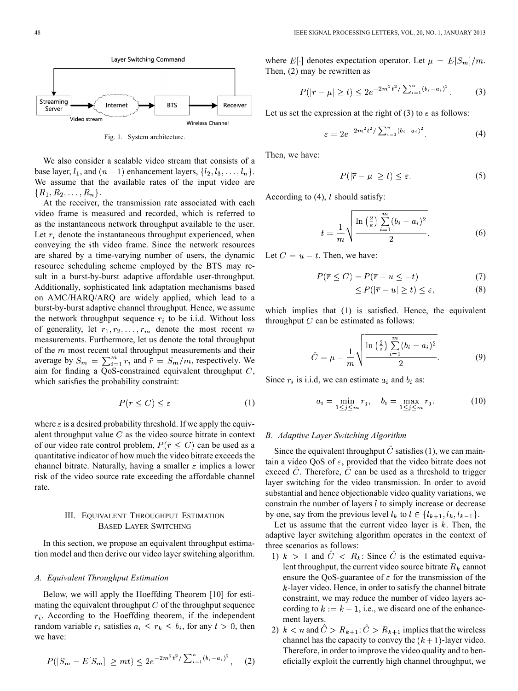

Fig. 1. System architecture.

We also consider a scalable video stream that consists of a base layer,  $l_1$ , and  $(n-1)$  enhancement layers,  $\{l_2, l_3, \ldots, l_n\}$ . We assume that the available rates of the input video are  ${R_1, R_2, \ldots, R_n}.$ 

At the receiver, the transmission rate associated with each video frame is measured and recorded, which is referred to as the instantaneous network throughput available to the user. Let  $r_i$  denote the instantaneous throughput experienced, when conveying the *i*th video frame. Since the network resources are shared by a time-varying number of users, the dynamic resource scheduling scheme employed by the BTS may result in a burst-by-burst adaptive affordable user-throughput. Additionally, sophisticated link adaptation mechanisms based on AMC/HARQ/ARQ are widely applied, which lead to a burst-by-burst adaptive channel throughput. Hence, we assume the network throughput sequence  $r_i$  to be i.i.d. Without loss of generality, let  $r_1, r_2, \ldots, r_m$  denote the most recent m measurements. Furthermore, let us denote the total throughput of the  $m$  most recent total throughput measurements and their average by  $S_m = \sum_{i=1}^m r_i$  and  $\overline{r} = S_m/m$ , respectively. We aim for finding a QoS-constrained equivalent throughput  $C$ , which satisfies the probability constraint:

$$
P(\bar{r} \le C) \le \varepsilon \tag{1}
$$

where  $\varepsilon$  is a desired probability threshold. If we apply the equivalent throughput value  $C$  as the video source bitrate in context of our video rate control problem,  $P(\bar{r} \leq C)$  can be used as a quantitative indicator of how much the video bitrate exceeds the channel bitrate. Naturally, having a smaller  $\varepsilon$  implies a lower risk of the video source rate exceeding the affordable channel rate.

## III. EQUIVALENT THROUGHPUT ESTIMATION BASED LAYER SWITCHING

In this section, we propose an equivalent throughput estimation model and then derive our video layer switching algorithm.

### *A. Equivalent Throughput Estimation*

Below, we will apply the Hoeffding Theorem [10] for estimating the equivalent throughput  $C$  of the throughput sequence  $r_i$ . According to the Hoeffding theorem, if the independent random variable  $r_i$  satisfies  $a_i \leq r_k \leq b_i$ , for any  $t > 0$ , then we have:

$$
P(|S_m - E[S_m]| \ge mt) \le 2e^{-2m^2t^2/\sum_{i=1}^n (b_i - a_i)^2}, \quad (2)
$$

where  $E[\cdot]$  denotes expectation operator. Let  $\mu = E[S_m]/m$ . Then, (2) may be rewritten as

$$
P(|\overline{r} - \mu| \ge t) \le 2e^{-2m^2t^2/\sum_{i=1}^n (b_i - a_i)^2}.
$$
 (3)

Let us set the expression at the right of (3) to  $\varepsilon$  as follows:

$$
\varepsilon = 2e^{-2m^2t^2/\sum_{i=1}^n (b_i - a_i)^2}.
$$
 (4)

Then, we have:

$$
P(|\overline{r} - \mu| \ge t) \le \varepsilon. \tag{5}
$$

According to  $(4)$ , t should satisfy:

$$
t = \frac{1}{m} \sqrt{\frac{\ln\left(\frac{2}{\varepsilon}\right) \sum_{i=1}^{m} (b_i - a_i)^2}{2}}.
$$
 (6)

Let  $C = u - t$ . Then, we have:

$$
P(\overline{r} \le C) = P(\overline{r} - u \le -t)
$$
\n<sup>(7)</sup>

$$
\leq P(|\overline{r} - u| \geq t) \leq \varepsilon,\tag{8}
$$

which implies that (1) is satisfied. Hence, the equivalent throughput  $C$  can be estimated as follows:

$$
\hat{C} = \mu - \frac{1}{m} \sqrt{\frac{\ln\left(\frac{2}{\varepsilon}\right) \sum_{i=1}^{m} (b_i - a_i)^2}{2}}.
$$
\n(9)

Since  $r_i$  is i.i.d, we can estimate  $a_i$  and  $b_i$  as:

$$
a_i = \min_{1 \le j \le m} r_j, \quad b_i = \max_{1 \le j \le m} r_j. \tag{10}
$$

## *B. Adaptive Layer Switching Algorithm*

Since the equivalent throughput  $\ddot{C}$  satisfies (1), we can maintain a video QoS of  $\varepsilon$ , provided that the video bitrate does not exceed  $\ddot{C}$ . Therefore,  $\ddot{C}$  can be used as a threshold to trigger layer switching for the video transmission. In order to avoid substantial and hence objectionable video quality variations, we constrain the number of layers  $l$  to simply increase or decrease by one, say from the previous level  $l_k$  to  $l \in \{l_{k+1}, l_k, l_{k-1}\}.$ 

Let us assume that the current video layer is  $k$ . Then, the adaptive layer switching algorithm operates in the context of three scenarios as follows:

- 1)  $k > 1$  and  $\hat{C} < R_k$ : Since  $\hat{C}$  is the estimated equivalent throughput, the current video source bitrate  $R_k$  cannot ensure the QoS-guarantee of  $\varepsilon$  for the transmission of the  $k$ -layer video. Hence, in order to satisfy the channel bitrate constraint, we may reduce the number of video layers according to  $k := k - 1$ , i.e., we discard one of the enhancement layers.
- 2)  $k < n$  and  $\hat{C} > R_{k+1}$ :  $\hat{C} > R_{k+1}$  implies that the wireless channel has the capacity to convey the  $(k+1)$ -layer video. Therefore, in order to improve the video quality and to beneficially exploit the currently high channel throughput, we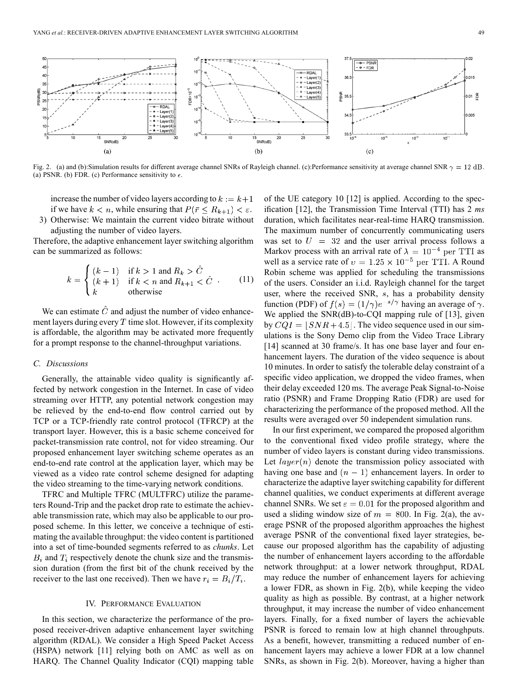

Fig. 2. (a) and (b):Simulation results for different average channel SNRs of Rayleigh channel. (c):Performance sensitivity at average channel SNR  $\gamma = 12$  dB. (a) PSNR. (b) FDR. (c) Performance sensitivity to  $\epsilon$ .

increase the number of video layers according to  $k := k+1$ if we have  $k < n$ , while ensuring that  $P(\bar{r} \leq R_{k+1}) < \varepsilon$ . 3) Otherwise: We maintain the current video bitrate without

adjusting the number of video layers.

Therefore, the adaptive enhancement layer switching algorithm can be summarized as follows:

$$
k = \begin{cases} (k-1) & \text{if } k > 1 \text{ and } R_k > \hat{C} \\ (k+1) & \text{if } k < n \text{ and } R_{k+1} < \hat{C} \end{cases} \tag{11}
$$
\n
$$
k
$$

We can estimate  $\hat{C}$  and adjust the number of video enhancement layers during every  $T$  time slot. However, if its complexity is affordable, the algorithm may be activated more frequently for a prompt response to the channel-throughput variations.

## *C. Discussions*

Generally, the attainable video quality is significantly affected by network congestion in the Internet. In case of video streaming over HTTP, any potential network congestion may be relieved by the end-to-end flow control carried out by TCP or a TCP-friendly rate control protocol (TFRCP) at the transport layer. However, this is a basic scheme conceived for packet-transmission rate control, not for video streaming. Our proposed enhancement layer switching scheme operates as an end-to-end rate control at the application layer, which may be viewed as a video rate control scheme designed for adapting the video streaming to the time-varying network conditions.

TFRC and Multiple TFRC (MULTFRC) utilize the parameters Round-Trip and the packet drop rate to estimate the achievable transmission rate, which may also be applicable to our proposed scheme. In this letter, we conceive a technique of estimating the available throughput: the video content is partitioned into a set of time-bounded segments referred to as *chunks*. Let  $B_i$  and  $T_i$  respectively denote the chunk size and the transmission duration (from the first bit of the chunk received by the receiver to the last one received). Then we have  $r_i = B_i/T_i$ .

### IV. PERFORMANCE EVALUATION

In this section, we characterize the performance of the proposed receiver-driven adaptive enhancement layer switching algorithm (RDAL). We consider a High Speed Packet Access (HSPA) network [11] relying both on AMC as well as on HARQ. The Channel Quality Indicator (CQI) mapping table

of the UE category 10 [12] is applied. According to the specification [12], the Transmission Time Interval (TTI) has 2 *ms* duration, which facilitates near-real-time HARQ transmission. The maximum number of concurrently communicating users was set to  $U = 32$  and the user arrival process follows a Markov process with an arrival rate of  $\lambda = 10^{-4}$  per TTI as well as a service rate of  $v = 1.25 \times 10^{-5}$  per TTI. A Round Robin scheme was applied for scheduling the transmissions of the users. Consider an i.i.d. Rayleigh channel for the target user, where the received SNR,  $s$ , has a probability density function (PDF) of  $f(s) = (1/\gamma)e^{-s/\gamma}$  having an average of  $\gamma$ . We applied the SNR(dB)-to-CQI mapping rule of [13], given by  $CQI = |SNR+4.5|$ . The video sequence used in our simulations is the Sony Demo clip from the Video Trace Library [14] scanned at 30 frame/s. It has one base layer and four enhancement layers. The duration of the video sequence is about 10 minutes. In order to satisfy the tolerable delay constraint of a specific video application, we dropped the video frames, when their delay exceeded 120 ms. The average Peak Signal-to-Noise ratio (PSNR) and Frame Dropping Ratio (FDR) are used for characterizing the performance of the proposed method. All the results were averaged over 50 independent simulation runs.

In our first experiment, we compared the proposed algorithm to the conventional fixed video profile strategy, where the number of video layers is constant during video transmissions. Let  $layer(n)$  denote the transmission policy associated with having one base and  $(n - 1)$  enhancement layers. In order to characterize the adaptive layer switching capability for different channel qualities, we conduct experiments at different average channel SNRs. We set  $\varepsilon = 0.01$  for the proposed algorithm and used a sliding window size of  $m = 800$ . In Fig. 2(a), the average PSNR of the proposed algorithm approaches the highest average PSNR of the conventional fixed layer strategies, because our proposed algorithm has the capability of adjusting the number of enhancement layers according to the affordable network throughput: at a lower network throughput, RDAL may reduce the number of enhancement layers for achieving a lower FDR, as shown in Fig. 2(b), while keeping the video quality as high as possible. By contrast, at a higher network throughput, it may increase the number of video enhancement layers. Finally, for a fixed number of layers the achievable PSNR is forced to remain low at high channel throughputs. As a benefit, however, transmitting a reduced number of enhancement layers may achieve a lower FDR at a low channel SNRs, as shown in Fig. 2(b). Moreover, having a higher than